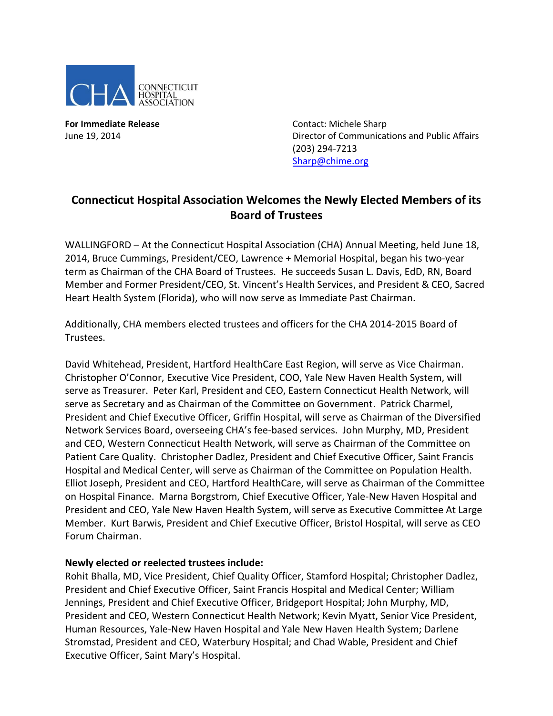

**For Immediate Release Contact: Michele Sharp** 

June 19, 2014 Director of Communications and Public Affairs (203) 294-7213 [Sharp@chime.org](mailto:Sharp@chime.org)

## **Connecticut Hospital Association Welcomes the Newly Elected Members of its Board of Trustees**

WALLINGFORD – At the Connecticut Hospital Association (CHA) Annual Meeting, held June 18, 2014, Bruce Cummings, President/CEO, Lawrence + Memorial Hospital, began his two-year term as Chairman of the CHA Board of Trustees. He succeeds Susan L. Davis, EdD, RN, Board Member and Former President/CEO, St. Vincent's Health Services, and President & CEO, Sacred Heart Health System (Florida), who will now serve as Immediate Past Chairman.

Additionally, CHA members elected trustees and officers for the CHA 2014-2015 Board of Trustees.

David Whitehead, President, Hartford HealthCare East Region, will serve as Vice Chairman. Christopher O'Connor, Executive Vice President, COO, Yale New Haven Health System, will serve as Treasurer. Peter Karl, President and CEO, Eastern Connecticut Health Network, will serve as Secretary and as Chairman of the Committee on Government. Patrick Charmel, President and Chief Executive Officer, Griffin Hospital, will serve as Chairman of the Diversified Network Services Board, overseeing CHA's fee-based services. John Murphy, MD, President and CEO, Western Connecticut Health Network, will serve as Chairman of the Committee on Patient Care Quality. Christopher Dadlez, President and Chief Executive Officer, Saint Francis Hospital and Medical Center, will serve as Chairman of the Committee on Population Health. Elliot Joseph, President and CEO, Hartford HealthCare, will serve as Chairman of the Committee on Hospital Finance. Marna Borgstrom, Chief Executive Officer, Yale-New Haven Hospital and President and CEO, Yale New Haven Health System, will serve as Executive Committee At Large Member. Kurt Barwis, President and Chief Executive Officer, Bristol Hospital, will serve as CEO Forum Chairman.

## **Newly elected or reelected trustees include:**

Rohit Bhalla, MD, Vice President, Chief Quality Officer, Stamford Hospital; Christopher Dadlez, President and Chief Executive Officer, Saint Francis Hospital and Medical Center; William Jennings, President and Chief Executive Officer, Bridgeport Hospital; John Murphy, MD, President and CEO, Western Connecticut Health Network; Kevin Myatt, Senior Vice President, Human Resources, Yale-New Haven Hospital and Yale New Haven Health System; Darlene Stromstad, President and CEO, Waterbury Hospital; and Chad Wable, President and Chief Executive Officer, Saint Mary's Hospital.